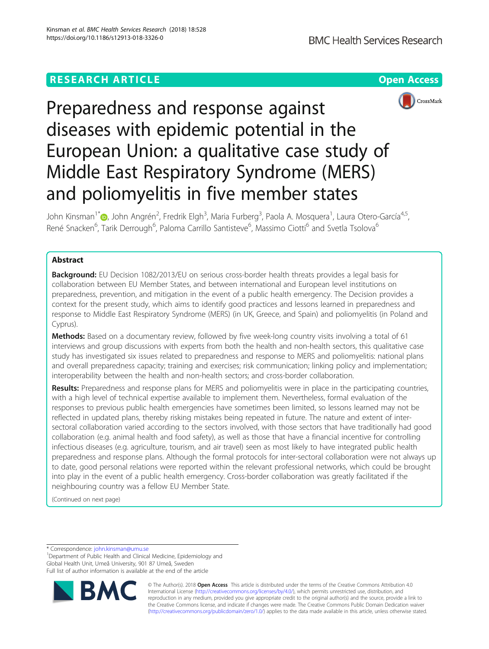## **RESEARCH ARTICLE Example 2014 12:30 The Contract of Contract ACCESS**



# Preparedness and response against diseases with epidemic potential in the European Union: a qualitative case study of Middle East Respiratory Syndrome (MERS) and poliomyelitis in five member states

John Kinsman<sup>1[\\*](http://orcid.org/0000-0003-1332-4138)</sup>®, John Angrén<sup>2</sup>, Fredrik Elgh<sup>3</sup>, Maria Furberg<sup>3</sup>, Paola A. Mosquera<sup>1</sup>, Laura Otero-García<sup>4,5</sup>, René Snacken<sup>6</sup>, Tarik Derrough<sup>6</sup>, Paloma Carrillo Santisteve<sup>6</sup>, Massimo Ciotti<sup>6</sup> and Svetla Tsolova<sup>6</sup>

## Abstract

**Background:** EU Decision 1082/2013/EU on serious cross-border health threats provides a legal basis for collaboration between EU Member States, and between international and European level institutions on preparedness, prevention, and mitigation in the event of a public health emergency. The Decision provides a context for the present study, which aims to identify good practices and lessons learned in preparedness and response to Middle East Respiratory Syndrome (MERS) (in UK, Greece, and Spain) and poliomyelitis (in Poland and Cyprus).

Methods: Based on a documentary review, followed by five week-long country visits involving a total of 61 interviews and group discussions with experts from both the health and non-health sectors, this qualitative case study has investigated six issues related to preparedness and response to MERS and poliomyelitis: national plans and overall preparedness capacity; training and exercises; risk communication; linking policy and implementation; interoperability between the health and non-health sectors; and cross-border collaboration.

Results: Preparedness and response plans for MERS and poliomyelitis were in place in the participating countries, with a high level of technical expertise available to implement them. Nevertheless, formal evaluation of the responses to previous public health emergencies have sometimes been limited, so lessons learned may not be reflected in updated plans, thereby risking mistakes being repeated in future. The nature and extent of intersectoral collaboration varied according to the sectors involved, with those sectors that have traditionally had good collaboration (e.g. animal health and food safety), as well as those that have a financial incentive for controlling infectious diseases (e.g. agriculture, tourism, and air travel) seen as most likely to have integrated public health preparedness and response plans. Although the formal protocols for inter-sectoral collaboration were not always up to date, good personal relations were reported within the relevant professional networks, which could be brought into play in the event of a public health emergency. Cross-border collaboration was greatly facilitated if the neighbouring country was a fellow EU Member State.

(Continued on next page)

\* Correspondence: [john.kinsman@umu.se](mailto:john.kinsman@umu.se) <sup>1</sup>

<sup>1</sup> Department of Public Health and Clinical Medicine, Epidemiology and Global Health Unit, Umeå University, 901 87 Umeå, Sweden Full list of author information is available at the end of the article



© The Author(s). 2018 Open Access This article is distributed under the terms of the Creative Commons Attribution 4.0 International License [\(http://creativecommons.org/licenses/by/4.0/](http://creativecommons.org/licenses/by/4.0/)), which permits unrestricted use, distribution, and reproduction in any medium, provided you give appropriate credit to the original author(s) and the source, provide a link to the Creative Commons license, and indicate if changes were made. The Creative Commons Public Domain Dedication waiver [\(http://creativecommons.org/publicdomain/zero/1.0/](http://creativecommons.org/publicdomain/zero/1.0/)) applies to the data made available in this article, unless otherwise stated.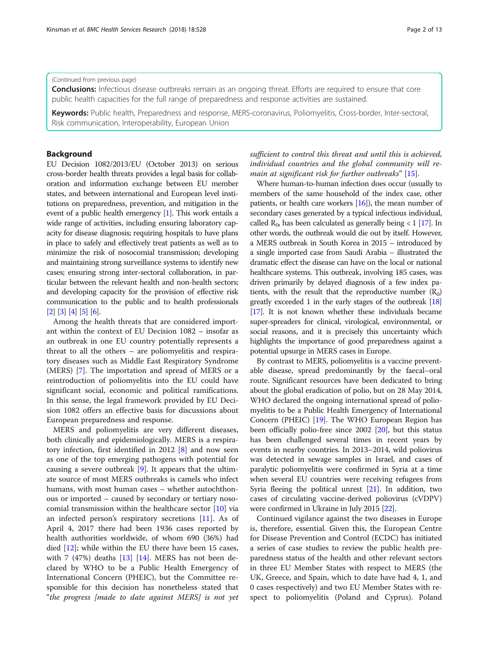## (Continued from previous page)

**Conclusions:** Infectious disease outbreaks remain as an ongoing threat. Efforts are required to ensure that core public health capacities for the full range of preparedness and response activities are sustained.

Keywords: Public health, Preparedness and response, MERS-coronavirus, Poliomyelitis, Cross-border, Inter-sectoral, Risk communication, Interoperability, European Union

## Background

EU Decision 1082/2013/EU (October 2013) on serious cross-border health threats provides a legal basis for collaboration and information exchange between EU member states, and between international and European level institutions on preparedness, prevention, and mitigation in the event of a public health emergency [[1](#page-11-0)]. This work entails a wide range of activities, including ensuring laboratory capacity for disease diagnosis; requiring hospitals to have plans in place to safely and effectively treat patients as well as to minimize the risk of nosocomial transmission; developing and maintaining strong surveillance systems to identify new cases; ensuring strong inter-sectoral collaboration, in particular between the relevant health and non-health sectors; and developing capacity for the provision of effective risk communication to the public and to health professionals [[2](#page-11-0)] [\[3\]](#page-11-0) [\[4](#page-11-0)] [[5](#page-11-0)] [\[6\]](#page-11-0).

Among the health threats that are considered important within the context of EU Decision 1082 – insofar as an outbreak in one EU country potentially represents a threat to all the others – are poliomyelitis and respiratory diseases such as Middle East Respiratory Syndrome (MERS) [[7\]](#page-11-0). The importation and spread of MERS or a reintroduction of poliomyelitis into the EU could have significant social, economic and political ramifications. In this sense, the legal framework provided by EU Decision 1082 offers an effective basis for discussions about European preparedness and response.

MERS and poliomyelitis are very different diseases, both clinically and epidemiologically. MERS is a respiratory infection, first identified in 2012 [\[8](#page-11-0)] and now seen as one of the top emerging pathogens with potential for causing a severe outbreak [[9](#page-11-0)]. It appears that the ultimate source of most MERS outbreaks is camels who infect humans, with most human cases – whether autochthonous or imported – caused by secondary or tertiary nosocomial transmission within the healthcare sector [[10\]](#page-11-0) via an infected person's respiratory secretions [\[11\]](#page-11-0). As of April 4, 2017 there had been 1936 cases reported by health authorities worldwide, of whom 690 (36%) had died  $[12]$  $[12]$  $[12]$ ; while within the EU there have been 15 cases, with 7 (47%) deaths [[13\]](#page-11-0) [[14\]](#page-11-0). MERS has not been declared by WHO to be a Public Health Emergency of International Concern (PHEIC), but the Committee responsible for this decision has nonetheless stated that "the progress [made to date against MERS] is not yet

sufficient to control this threat and until this is achieved, individual countries and the global community will re-main at significant risk for further outbreaks" [[15\]](#page-11-0).

Where human-to-human infection does occur (usually to members of the same household of the index case, other patients, or health care workers  $[16]$  $[16]$ , the mean number of secondary cases generated by a typical infectious individual, called  $R_0$ , has been calculated as generally being < 1 [[17](#page-11-0)]. In other words, the outbreak would die out by itself. However, a MERS outbreak in South Korea in 2015 – introduced by a single imported case from Saudi Arabia – illustrated the dramatic effect the disease can have on the local or national healthcare systems. This outbreak, involving 185 cases, was driven primarily by delayed diagnosis of a few index patients, with the result that the reproductive number  $(R_0)$ greatly exceeded 1 in the early stages of the outbreak [\[18](#page-11-0)] [[17](#page-11-0)]. It is not known whether these individuals became super-spreaders for clinical, virological, environmental, or social reasons, and it is precisely this uncertainty which highlights the importance of good preparedness against a potential upsurge in MERS cases in Europe.

By contrast to MERS, poliomyelitis is a vaccine preventable disease, spread predominantly by the faecal–oral route. Significant resources have been dedicated to bring about the global eradication of polio, but on 28 May 2014, WHO declared the ongoing international spread of poliomyelitis to be a Public Health Emergency of International Concern (PHEIC) [\[19\]](#page-11-0). The WHO European Region has been officially polio-free since 2002 [[20](#page-11-0)], but this status has been challenged several times in recent years by events in nearby countries. In 2013–2014, wild poliovirus was detected in sewage samples in Israel, and cases of paralytic poliomyelitis were confirmed in Syria at a time when several EU countries were receiving refugees from Syria fleeing the political unrest  $[21]$  $[21]$  $[21]$ . In addition, two cases of circulating vaccine-derived poliovirus (cVDPV) were confirmed in Ukraine in July 2015 [\[22\]](#page-11-0).

Continued vigilance against the two diseases in Europe is, therefore, essential. Given this, the European Centre for Disease Prevention and Control (ECDC) has initiated a series of case studies to review the public health preparedness status of the health and other relevant sectors in three EU Member States with respect to MERS (the UK, Greece, and Spain, which to date have had 4, 1, and 0 cases respectively) and two EU Member States with respect to poliomyelitis (Poland and Cyprus). Poland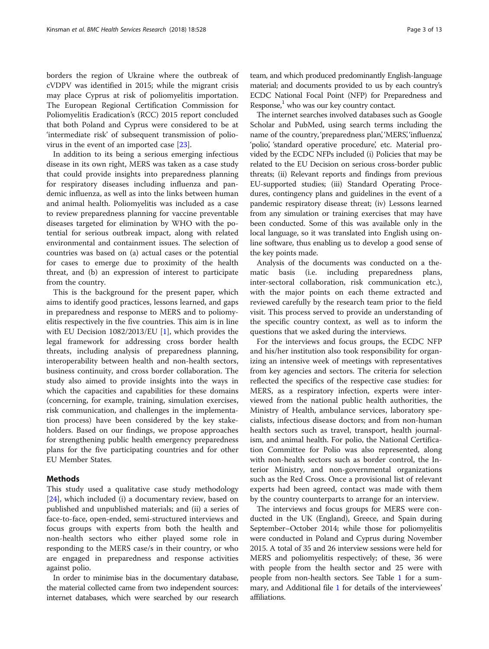borders the region of Ukraine where the outbreak of cVDPV was identified in 2015; while the migrant crisis may place Cyprus at risk of poliomyelitis importation. The European Regional Certification Commission for Poliomyelitis Eradication's (RCC) 2015 report concluded that both Poland and Cyprus were considered to be at 'intermediate risk' of subsequent transmission of poliovirus in the event of an imported case [\[23](#page-11-0)].

In addition to its being a serious emerging infectious disease in its own right, MERS was taken as a case study that could provide insights into preparedness planning for respiratory diseases including influenza and pandemic influenza, as well as into the links between human and animal health. Poliomyelitis was included as a case to review preparedness planning for vaccine preventable diseases targeted for elimination by WHO with the potential for serious outbreak impact, along with related environmental and containment issues. The selection of countries was based on (a) actual cases or the potential for cases to emerge due to proximity of the health threat, and (b) an expression of interest to participate from the country.

This is the background for the present paper, which aims to identify good practices, lessons learned, and gaps in preparedness and response to MERS and to poliomyelitis respectively in the five countries. This aim is in line with EU Decision 1082/2013/EU [\[1](#page-11-0)], which provides the legal framework for addressing cross border health threats, including analysis of preparedness planning, interoperability between health and non-health sectors, business continuity, and cross border collaboration. The study also aimed to provide insights into the ways in which the capacities and capabilities for these domains (concerning, for example, training, simulation exercises, risk communication, and challenges in the implementation process) have been considered by the key stakeholders. Based on our findings, we propose approaches for strengthening public health emergency preparedness plans for the five participating countries and for other EU Member States.

## Methods

This study used a qualitative case study methodology [[24\]](#page-11-0), which included (i) a documentary review, based on published and unpublished materials; and (ii) a series of face-to-face, open-ended, semi-structured interviews and focus groups with experts from both the health and non-health sectors who either played some role in responding to the MERS case/s in their country, or who are engaged in preparedness and response activities against polio.

In order to minimise bias in the documentary database, the material collected came from two independent sources: internet databases, which were searched by our research team, and which produced predominantly English-language material; and documents provided to us by each country's ECDC National Focal Point (NFP) for Preparedness and Response, $<sup>1</sup>$  who was our key country contact.</sup>

The internet searches involved databases such as Google Scholar and PubMed, using search terms including the name of the country, 'preparedness plan', 'MERS', 'influenza', 'polio', 'standard operative procedure', etc. Material provided by the ECDC NFPs included (i) Policies that may be related to the EU Decision on serious cross-border public threats; (ii) Relevant reports and findings from previous EU-supported studies; (iii) Standard Operating Procedures, contingency plans and guidelines in the event of a pandemic respiratory disease threat; (iv) Lessons learned from any simulation or training exercises that may have been conducted. Some of this was available only in the local language, so it was translated into English using online software, thus enabling us to develop a good sense of the key points made.

Analysis of the documents was conducted on a thematic basis (i.e. including preparedness plans, inter-sectoral collaboration, risk communication etc.), with the major points on each theme extracted and reviewed carefully by the research team prior to the field visit. This process served to provide an understanding of the specific country context, as well as to inform the questions that we asked during the interviews.

For the interviews and focus groups, the ECDC NFP and his/her institution also took responsibility for organizing an intensive week of meetings with representatives from key agencies and sectors. The criteria for selection reflected the specifics of the respective case studies: for MERS, as a respiratory infection, experts were interviewed from the national public health authorities, the Ministry of Health, ambulance services, laboratory specialists, infectious disease doctors; and from non-human health sectors such as travel, transport, health journalism, and animal health. For polio, the National Certification Committee for Polio was also represented, along with non-health sectors such as border control, the Interior Ministry, and non-governmental organizations such as the Red Cross. Once a provisional list of relevant experts had been agreed, contact was made with them by the country counterparts to arrange for an interview.

The interviews and focus groups for MERS were conducted in the UK (England), Greece, and Spain during September–October 2014; while those for poliomyelitis were conducted in Poland and Cyprus during November 2015. A total of 35 and 26 interview sessions were held for MERS and poliomyelitis respectively; of these, 36 were with people from the health sector and 25 were with people from non-health sectors. See Table [1](#page-3-0) for a summary, and Additional file [1](#page-10-0) for details of the interviewees' affiliations.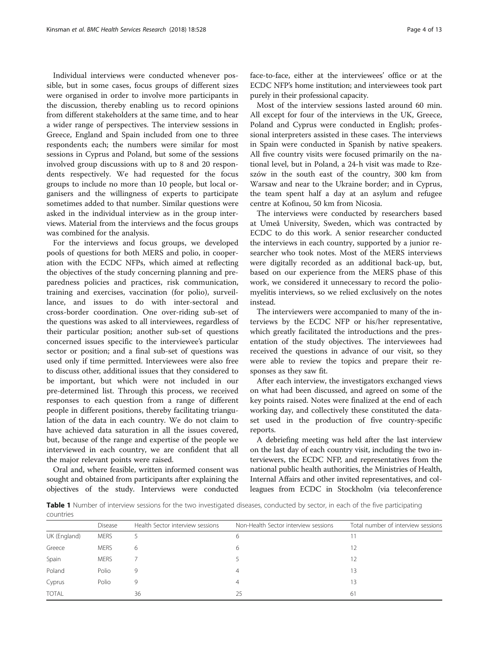<span id="page-3-0"></span>Individual interviews were conducted whenever possible, but in some cases, focus groups of different sizes were organised in order to involve more participants in the discussion, thereby enabling us to record opinions from different stakeholders at the same time, and to hear a wider range of perspectives. The interview sessions in Greece, England and Spain included from one to three respondents each; the numbers were similar for most sessions in Cyprus and Poland, but some of the sessions involved group discussions with up to 8 and 20 respondents respectively. We had requested for the focus groups to include no more than 10 people, but local organisers and the willingness of experts to participate sometimes added to that number. Similar questions were asked in the individual interview as in the group interviews. Material from the interviews and the focus groups was combined for the analysis.

For the interviews and focus groups, we developed pools of questions for both MERS and polio, in cooperation with the ECDC NFPs, which aimed at reflecting the objectives of the study concerning planning and preparedness policies and practices, risk communication, training and exercises, vaccination (for polio), surveillance, and issues to do with inter-sectoral and cross-border coordination. One over-riding sub-set of the questions was asked to all interviewees, regardless of their particular position; another sub-set of questions concerned issues specific to the interviewee's particular sector or position; and a final sub-set of questions was used only if time permitted. Interviewees were also free to discuss other, additional issues that they considered to be important, but which were not included in our pre-determined list. Through this process, we received responses to each question from a range of different people in different positions, thereby facilitating triangulation of the data in each country. We do not claim to have achieved data saturation in all the issues covered, but, because of the range and expertise of the people we interviewed in each country, we are confident that all the major relevant points were raised.

Oral and, where feasible, written informed consent was sought and obtained from participants after explaining the objectives of the study. Interviews were conducted

face-to-face, either at the interviewees' office or at the ECDC NFP's home institution; and interviewees took part purely in their professional capacity.

Most of the interview sessions lasted around 60 min. All except for four of the interviews in the UK, Greece, Poland and Cyprus were conducted in English; professional interpreters assisted in these cases. The interviews in Spain were conducted in Spanish by native speakers. All five country visits were focused primarily on the national level, but in Poland, a 24-h visit was made to Rzeszów in the south east of the country, 300 km from Warsaw and near to the Ukraine border; and in Cyprus, the team spent half a day at an asylum and refugee centre at Kofinou, 50 km from Nicosia.

The interviews were conducted by researchers based at Umeå University, Sweden, which was contracted by ECDC to do this work. A senior researcher conducted the interviews in each country, supported by a junior researcher who took notes. Most of the MERS interviews were digitally recorded as an additional back-up, but, based on our experience from the MERS phase of this work, we considered it unnecessary to record the poliomyelitis interviews, so we relied exclusively on the notes instead.

The interviewers were accompanied to many of the interviews by the ECDC NFP or his/her representative, which greatly facilitated the introductions and the presentation of the study objectives. The interviewees had received the questions in advance of our visit, so they were able to review the topics and prepare their responses as they saw fit.

After each interview, the investigators exchanged views on what had been discussed, and agreed on some of the key points raised. Notes were finalized at the end of each working day, and collectively these constituted the dataset used in the production of five country-specific reports.

A debriefing meeting was held after the last interview on the last day of each country visit, including the two interviewers, the ECDC NFP, and representatives from the national public health authorities, the Ministries of Health, Internal Affairs and other invited representatives, and colleagues from ECDC in Stockholm (via teleconference

Table 1 Number of interview sessions for the two investigated diseases, conducted by sector, in each of the five participating countries

|              | Disease     | Health Sector interview sessions | Non-Health Sector interview sessions | Total number of interview sessions |
|--------------|-------------|----------------------------------|--------------------------------------|------------------------------------|
| UK (England) | <b>MERS</b> |                                  | 6                                    |                                    |
| Greece       | <b>MERS</b> | 6                                | 6                                    | 12                                 |
| Spain        | <b>MERS</b> |                                  |                                      | 12                                 |
| Poland       | Polio       | 9                                | 4                                    | 13                                 |
| Cyprus       | Polio       | 9                                | 4                                    | 13                                 |
| <b>TOTAL</b> |             | 36                               | 25                                   | 61                                 |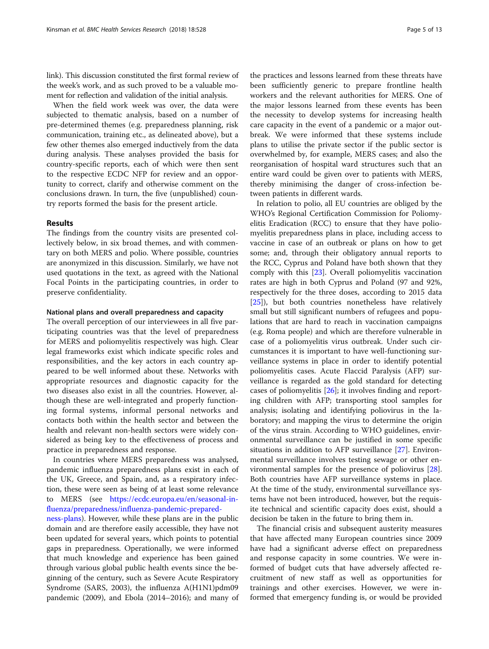link). This discussion constituted the first formal review of the week's work, and as such proved to be a valuable moment for reflection and validation of the initial analysis.

When the field work week was over, the data were subjected to thematic analysis, based on a number of pre-determined themes (e.g. preparedness planning, risk communication, training etc., as delineated above), but a few other themes also emerged inductively from the data during analysis. These analyses provided the basis for country-specific reports, each of which were then sent to the respective ECDC NFP for review and an opportunity to correct, clarify and otherwise comment on the conclusions drawn. In turn, the five (unpublished) country reports formed the basis for the present article.

## Results

The findings from the country visits are presented collectively below, in six broad themes, and with commentary on both MERS and polio. Where possible, countries are anonymized in this discussion. Similarly, we have not used quotations in the text, as agreed with the National Focal Points in the participating countries, in order to preserve confidentiality.

## National plans and overall preparedness and capacity

The overall perception of our interviewees in all five participating countries was that the level of preparedness for MERS and poliomyelitis respectively was high. Clear legal frameworks exist which indicate specific roles and responsibilities, and the key actors in each country appeared to be well informed about these. Networks with appropriate resources and diagnostic capacity for the two diseases also exist in all the countries. However, although these are well-integrated and properly functioning formal systems, informal personal networks and contacts both within the health sector and between the health and relevant non-health sectors were widely considered as being key to the effectiveness of process and practice in preparedness and response.

In countries where MERS preparedness was analysed, pandemic influenza preparedness plans exist in each of the UK, Greece, and Spain, and, as a respiratory infection, these were seen as being of at least some relevance to MERS (see [https://ecdc.europa.eu/en/seasonal-in](https://ecdc.europa.eu/en/seasonal-influenza/preparedness/influenza-pandemic-preparedness-plans)[fluenza/preparedness/influenza-pandemic-prepared-](https://ecdc.europa.eu/en/seasonal-influenza/preparedness/influenza-pandemic-preparedness-plans)

[ness-plans](https://ecdc.europa.eu/en/seasonal-influenza/preparedness/influenza-pandemic-preparedness-plans)). However, while these plans are in the public domain and are therefore easily accessible, they have not been updated for several years, which points to potential gaps in preparedness. Operationally, we were informed that much knowledge and experience has been gained through various global public health events since the beginning of the century, such as Severe Acute Respiratory Syndrome (SARS, 2003), the influenza A(H1N1)pdm09 pandemic (2009), and Ebola (2014–2016); and many of

the practices and lessons learned from these threats have been sufficiently generic to prepare frontline health workers and the relevant authorities for MERS. One of the major lessons learned from these events has been the necessity to develop systems for increasing health care capacity in the event of a pandemic or a major outbreak. We were informed that these systems include plans to utilise the private sector if the public sector is overwhelmed by, for example, MERS cases; and also the reorganisation of hospital ward structures such that an entire ward could be given over to patients with MERS, thereby minimising the danger of cross-infection between patients in different wards.

In relation to polio, all EU countries are obliged by the WHO's Regional Certification Commission for Poliomyelitis Eradication (RCC) to ensure that they have poliomyelitis preparedness plans in place, including access to vaccine in case of an outbreak or plans on how to get some; and, through their obligatory annual reports to the RCC, Cyprus and Poland have both shown that they comply with this [[23\]](#page-11-0). Overall poliomyelitis vaccination rates are high in both Cyprus and Poland (97 and 92%, respectively for the three doses, according to 2015 data [[25\]](#page-11-0)), but both countries nonetheless have relatively small but still significant numbers of refugees and populations that are hard to reach in vaccination campaigns (e.g. Roma people) and which are therefore vulnerable in case of a poliomyelitis virus outbreak. Under such circumstances it is important to have well-functioning surveillance systems in place in order to identify potential poliomyelitis cases. Acute Flaccid Paralysis (AFP) surveillance is regarded as the gold standard for detecting cases of poliomyelitis [[26\]](#page-11-0); it involves finding and reporting children with AFP; transporting stool samples for analysis; isolating and identifying poliovirus in the laboratory; and mapping the virus to determine the origin of the virus strain. According to WHO guidelines, environmental surveillance can be justified in some specific situations in addition to AFP surveillance [\[27\]](#page-11-0). Environmental surveillance involves testing sewage or other environmental samples for the presence of poliovirus [\[28](#page-11-0)]. Both countries have AFP surveillance systems in place. At the time of the study, environmental surveillance systems have not been introduced, however, but the requisite technical and scientific capacity does exist, should a decision be taken in the future to bring them in.

The financial crisis and subsequent austerity measures that have affected many European countries since 2009 have had a significant adverse effect on preparedness and response capacity in some countries. We were informed of budget cuts that have adversely affected recruitment of new staff as well as opportunities for trainings and other exercises. However, we were informed that emergency funding is, or would be provided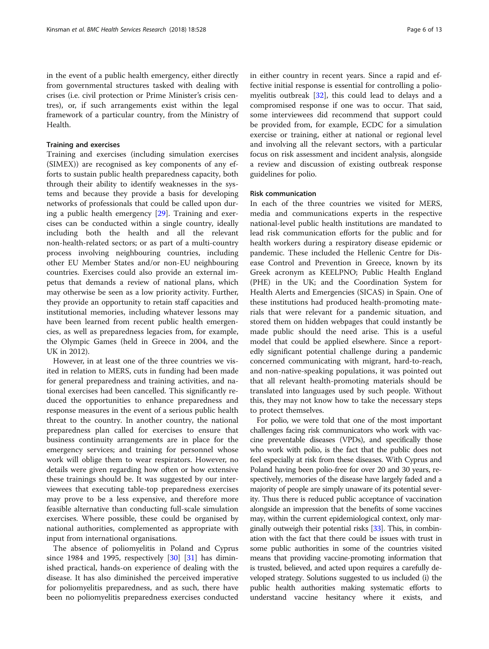in the event of a public health emergency, either directly from governmental structures tasked with dealing with crises (i.e. civil protection or Prime Minister's crisis centres), or, if such arrangements exist within the legal framework of a particular country, from the Ministry of Health.

## Training and exercises

Training and exercises (including simulation exercises (SIMEX)) are recognised as key components of any efforts to sustain public health preparedness capacity, both through their ability to identify weaknesses in the systems and because they provide a basis for developing networks of professionals that could be called upon during a public health emergency [[29\]](#page-11-0). Training and exercises can be conducted within a single country, ideally including both the health and all the relevant non-health-related sectors; or as part of a multi-country process involving neighbouring countries, including other EU Member States and/or non-EU neighbouring countries. Exercises could also provide an external impetus that demands a review of national plans, which may otherwise be seen as a low priority activity. Further, they provide an opportunity to retain staff capacities and institutional memories, including whatever lessons may have been learned from recent public health emergencies, as well as preparedness legacies from, for example, the Olympic Games (held in Greece in 2004, and the UK in 2012).

However, in at least one of the three countries we visited in relation to MERS, cuts in funding had been made for general preparedness and training activities, and national exercises had been cancelled. This significantly reduced the opportunities to enhance preparedness and response measures in the event of a serious public health threat to the country. In another country, the national preparedness plan called for exercises to ensure that business continuity arrangements are in place for the emergency services; and training for personnel whose work will oblige them to wear respirators. However, no details were given regarding how often or how extensive these trainings should be. It was suggested by our interviewees that executing table-top preparedness exercises may prove to be a less expensive, and therefore more feasible alternative than conducting full-scale simulation exercises. Where possible, these could be organised by national authorities, complemented as appropriate with input from international organisations.

The absence of poliomyelitis in Poland and Cyprus since 1984 and 1995, respectively [[30\]](#page-11-0) [[31](#page-11-0)] has diminished practical, hands-on experience of dealing with the disease. It has also diminished the perceived imperative for poliomyelitis preparedness, and as such, there have been no poliomyelitis preparedness exercises conducted in either country in recent years. Since a rapid and effective initial response is essential for controlling a poliomyelitis outbreak [[32\]](#page-11-0), this could lead to delays and a compromised response if one was to occur. That said, some interviewees did recommend that support could be provided from, for example, ECDC for a simulation exercise or training, either at national or regional level and involving all the relevant sectors, with a particular focus on risk assessment and incident analysis, alongside a review and discussion of existing outbreak response guidelines for polio.

## Risk communication

In each of the three countries we visited for MERS, media and communications experts in the respective national-level public health institutions are mandated to lead risk communication efforts for the public and for health workers during a respiratory disease epidemic or pandemic. These included the Hellenic Centre for Disease Control and Prevention in Greece, known by its Greek acronym as KEELPNO; Public Health England (PHE) in the UK; and the Coordination System for Health Alerts and Emergencies (SICAS) in Spain. One of these institutions had produced health-promoting materials that were relevant for a pandemic situation, and stored them on hidden webpages that could instantly be made public should the need arise. This is a useful model that could be applied elsewhere. Since a reportedly significant potential challenge during a pandemic concerned communicating with migrant, hard-to-reach, and non-native-speaking populations, it was pointed out that all relevant health-promoting materials should be translated into languages used by such people. Without this, they may not know how to take the necessary steps to protect themselves.

For polio, we were told that one of the most important challenges facing risk communicators who work with vaccine preventable diseases (VPDs), and specifically those who work with polio, is the fact that the public does not feel especially at risk from these diseases. With Cyprus and Poland having been polio-free for over 20 and 30 years, respectively, memories of the disease have largely faded and a majority of people are simply unaware of its potential severity. Thus there is reduced public acceptance of vaccination alongside an impression that the benefits of some vaccines may, within the current epidemiological context, only marginally outweigh their potential risks [[33](#page-11-0)]. This, in combination with the fact that there could be issues with trust in some public authorities in some of the countries visited means that providing vaccine-promoting information that is trusted, believed, and acted upon requires a carefully developed strategy. Solutions suggested to us included (i) the public health authorities making systematic efforts to understand vaccine hesitancy where it exists, and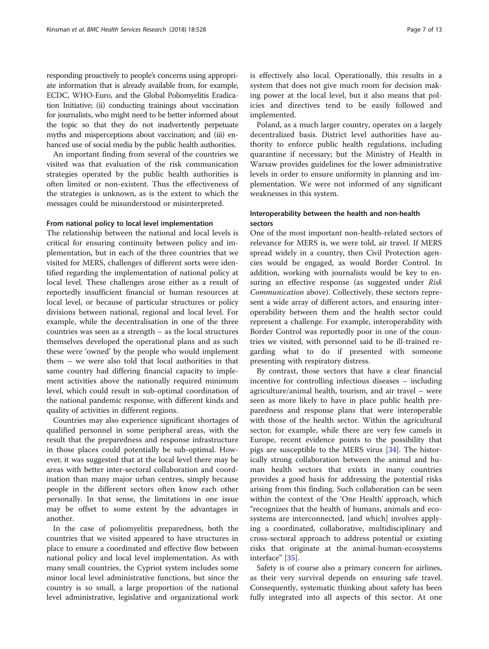responding proactively to people's concerns using appropriate information that is already available from, for example, ECDC, WHO-Euro, and the Global Poliomyelitis Eradication Initiative; (ii) conducting trainings about vaccination for journalists, who might need to be better informed about the topic so that they do not inadvertently perpetuate myths and misperceptions about vaccination; and (iii) enhanced use of social media by the public health authorities.

An important finding from several of the countries we visited was that evaluation of the risk communication strategies operated by the public health authorities is often limited or non-existent. Thus the effectiveness of the strategies is unknown, as is the extent to which the messages could be misunderstood or misinterpreted.

## From national policy to local level implementation

The relationship between the national and local levels is critical for ensuring continuity between policy and implementation, but in each of the three countries that we visited for MERS, challenges of different sorts were identified regarding the implementation of national policy at local level. These challenges arose either as a result of reportedly insufficient financial or human resources at local level, or because of particular structures or policy divisions between national, regional and local level. For example, while the decentralisation in one of the three countries was seen as a strength – as the local structures themselves developed the operational plans and as such these were 'owned' by the people who would implement them – we were also told that local authorities in that same country had differing financial capacity to implement activities above the nationally required minimum level, which could result in sub-optimal coordination of the national pandemic response, with different kinds and quality of activities in different regions.

Countries may also experience significant shortages of qualified personnel in some peripheral areas, with the result that the preparedness and response infrastructure in those places could potentially be sub-optimal. However, it was suggested that at the local level there may be areas with better inter-sectoral collaboration and coordination than many major urban centres, simply because people in the different sectors often know each other personally. In that sense, the limitations in one issue may be offset to some extent by the advantages in another.

In the case of poliomyelitis preparedness, both the countries that we visited appeared to have structures in place to ensure a coordinated and effective flow between national policy and local level implementation. As with many small countries, the Cypriot system includes some minor local level administrative functions, but since the country is so small, a large proportion of the national level administrative, legislative and organizational work

is effectively also local. Operationally, this results in a system that does not give much room for decision making power at the local level, but it also means that policies and directives tend to be easily followed and implemented.

Poland, as a much larger country, operates on a largely decentralized basis. District level authorities have authority to enforce public health regulations, including quarantine if necessary; but the Ministry of Health in Warsaw provides guidelines for the lower administrative levels in order to ensure uniformity in planning and implementation. We were not informed of any significant weaknesses in this system.

## Interoperability between the health and non-health sectors

One of the most important non-health-related sectors of relevance for MERS is, we were told, air travel. If MERS spread widely in a country, then Civil Protection agencies would be engaged, as would Border Control. In addition, working with journalists would be key to ensuring an effective response (as suggested under Risk Communication above). Collectively, these sectors represent a wide array of different actors, and ensuring interoperability between them and the health sector could represent a challenge. For example, interoperability with Border Control was reportedly poor in one of the countries we visited, with personnel said to be ill-trained regarding what to do if presented with someone presenting with respiratory distress.

By contrast, those sectors that have a clear financial incentive for controlling infectious diseases – including agriculture/animal health, tourism, and air travel – were seen as more likely to have in place public health preparedness and response plans that were interoperable with those of the health sector. Within the agricultural sector, for example, while there are very few camels in Europe, recent evidence points to the possibility that pigs are susceptible to the MERS virus [\[34\]](#page-11-0). The historically strong collaboration between the animal and human health sectors that exists in many countries provides a good basis for addressing the potential risks arising from this finding. Such collaboration can be seen within the context of the 'One Health' approach, which "recognizes that the health of humans, animals and ecosystems are interconnected, [and which] involves applying a coordinated, collaborative, multidisciplinary and cross-sectoral approach to address potential or existing risks that originate at the animal-human-ecosystems interface" [[35](#page-11-0)].

Safety is of course also a primary concern for airlines, as their very survival depends on ensuring safe travel. Consequently, systematic thinking about safety has been fully integrated into all aspects of this sector. At one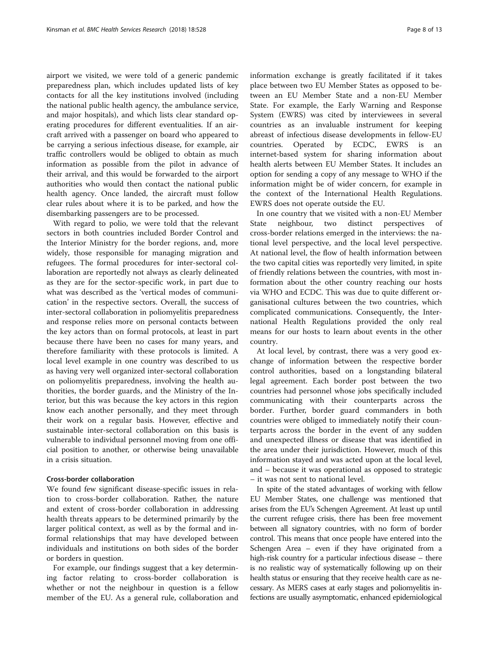airport we visited, we were told of a generic pandemic preparedness plan, which includes updated lists of key contacts for all the key institutions involved (including the national public health agency, the ambulance service, and major hospitals), and which lists clear standard operating procedures for different eventualities. If an aircraft arrived with a passenger on board who appeared to be carrying a serious infectious disease, for example, air traffic controllers would be obliged to obtain as much information as possible from the pilot in advance of their arrival, and this would be forwarded to the airport authorities who would then contact the national public health agency. Once landed, the aircraft must follow clear rules about where it is to be parked, and how the disembarking passengers are to be processed.

With regard to polio, we were told that the relevant sectors in both countries included Border Control and the Interior Ministry for the border regions, and, more widely, those responsible for managing migration and refugees. The formal procedures for inter-sectoral collaboration are reportedly not always as clearly delineated as they are for the sector-specific work, in part due to what was described as the 'vertical modes of communication' in the respective sectors. Overall, the success of inter-sectoral collaboration in poliomyelitis preparedness and response relies more on personal contacts between the key actors than on formal protocols, at least in part because there have been no cases for many years, and therefore familiarity with these protocols is limited. A local level example in one country was described to us as having very well organized inter-sectoral collaboration on poliomyelitis preparedness, involving the health authorities, the border guards, and the Ministry of the Interior, but this was because the key actors in this region know each another personally, and they meet through their work on a regular basis. However, effective and sustainable inter-sectoral collaboration on this basis is vulnerable to individual personnel moving from one official position to another, or otherwise being unavailable in a crisis situation.

## Cross-border collaboration

We found few significant disease-specific issues in relation to cross-border collaboration. Rather, the nature and extent of cross-border collaboration in addressing health threats appears to be determined primarily by the larger political context, as well as by the formal and informal relationships that may have developed between individuals and institutions on both sides of the border or borders in question.

For example, our findings suggest that a key determining factor relating to cross-border collaboration is whether or not the neighbour in question is a fellow member of the EU. As a general rule, collaboration and information exchange is greatly facilitated if it takes place between two EU Member States as opposed to between an EU Member State and a non-EU Member State. For example, the Early Warning and Response System (EWRS) was cited by interviewees in several countries as an invaluable instrument for keeping abreast of infectious disease developments in fellow-EU

countries. Operated by ECDC, EWRS is an internet-based system for sharing information about health alerts between EU Member States. It includes an option for sending a copy of any message to WHO if the information might be of wider concern, for example in the context of the International Health Regulations. EWRS does not operate outside the EU.

In one country that we visited with a non-EU Member State neighbour, two distinct perspectives of cross-border relations emerged in the interviews: the national level perspective, and the local level perspective. At national level, the flow of health information between the two capital cities was reportedly very limited, in spite of friendly relations between the countries, with most information about the other country reaching our hosts via WHO and ECDC. This was due to quite different organisational cultures between the two countries, which complicated communications. Consequently, the International Health Regulations provided the only real means for our hosts to learn about events in the other country.

At local level, by contrast, there was a very good exchange of information between the respective border control authorities, based on a longstanding bilateral legal agreement. Each border post between the two countries had personnel whose jobs specifically included communicating with their counterparts across the border. Further, border guard commanders in both countries were obliged to immediately notify their counterparts across the border in the event of any sudden and unexpected illness or disease that was identified in the area under their jurisdiction. However, much of this information stayed and was acted upon at the local level, and – because it was operational as opposed to strategic – it was not sent to national level.

In spite of the stated advantages of working with fellow EU Member States, one challenge was mentioned that arises from the EU's Schengen Agreement. At least up until the current refugee crisis, there has been free movement between all signatory countries, with no form of border control. This means that once people have entered into the Schengen Area – even if they have originated from a high-risk country for a particular infectious disease – there is no realistic way of systematically following up on their health status or ensuring that they receive health care as necessary. As MERS cases at early stages and poliomyelitis infections are usually asymptomatic, enhanced epidemiological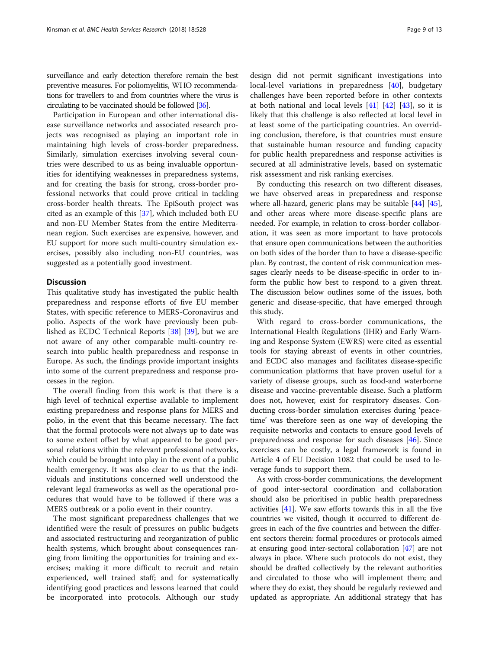surveillance and early detection therefore remain the best preventive measures. For poliomyelitis, WHO recommendations for travellers to and from countries where the virus is circulating to be vaccinated should be followed [\[36](#page-11-0)].

Participation in European and other international disease surveillance networks and associated research projects was recognised as playing an important role in maintaining high levels of cross-border preparedness. Similarly, simulation exercises involving several countries were described to us as being invaluable opportunities for identifying weaknesses in preparedness systems, and for creating the basis for strong, cross-border professional networks that could prove critical in tackling cross-border health threats. The EpiSouth project was cited as an example of this [\[37](#page-11-0)], which included both EU and non-EU Member States from the entire Mediterranean region. Such exercises are expensive, however, and EU support for more such multi-country simulation exercises, possibly also including non-EU countries, was suggested as a potentially good investment.

## **Discussion**

This qualitative study has investigated the public health preparedness and response efforts of five EU member States, with specific reference to MERS-Coronavirus and polio. Aspects of the work have previously been published as ECDC Technical Reports [[38\]](#page-11-0) [\[39](#page-11-0)], but we are not aware of any other comparable multi-country research into public health preparedness and response in Europe. As such, the findings provide important insights into some of the current preparedness and response processes in the region.

The overall finding from this work is that there is a high level of technical expertise available to implement existing preparedness and response plans for MERS and polio, in the event that this became necessary. The fact that the formal protocols were not always up to date was to some extent offset by what appeared to be good personal relations within the relevant professional networks, which could be brought into play in the event of a public health emergency. It was also clear to us that the individuals and institutions concerned well understood the relevant legal frameworks as well as the operational procedures that would have to be followed if there was a MERS outbreak or a polio event in their country.

The most significant preparedness challenges that we identified were the result of pressures on public budgets and associated restructuring and reorganization of public health systems, which brought about consequences ranging from limiting the opportunities for training and exercises; making it more difficult to recruit and retain experienced, well trained staff; and for systematically identifying good practices and lessons learned that could be incorporated into protocols. Although our study design did not permit significant investigations into local-level variations in preparedness [\[40](#page-11-0)], budgetary challenges have been reported before in other contexts at both national and local levels [[41\]](#page-11-0) [\[42](#page-11-0)] [[43\]](#page-11-0), so it is likely that this challenge is also reflected at local level in at least some of the participating countries. An overriding conclusion, therefore, is that countries must ensure that sustainable human resource and funding capacity for public health preparedness and response activities is secured at all administrative levels, based on systematic risk assessment and risk ranking exercises.

By conducting this research on two different diseases, we have observed areas in preparedness and response where all-hazard, generic plans may be suitable [\[44](#page-11-0)] [[45](#page-12-0)], and other areas where more disease-specific plans are needed. For example, in relation to cross-border collaboration, it was seen as more important to have protocols that ensure open communications between the authorities on both sides of the border than to have a disease-specific plan. By contrast, the content of risk communication messages clearly needs to be disease-specific in order to inform the public how best to respond to a given threat. The discussion below outlines some of the issues, both generic and disease-specific, that have emerged through this study.

With regard to cross-border communications, the International Health Regulations (IHR) and Early Warning and Response System (EWRS) were cited as essential tools for staying abreast of events in other countries, and ECDC also manages and facilitates disease-specific communication platforms that have proven useful for a variety of disease groups, such as food-and waterborne disease and vaccine-preventable disease. Such a platform does not, however, exist for respiratory diseases. Conducting cross-border simulation exercises during 'peacetime' was therefore seen as one way of developing the requisite networks and contacts to ensure good levels of preparedness and response for such diseases [[46\]](#page-12-0). Since exercises can be costly, a legal framework is found in Article 4 of EU Decision 1082 that could be used to leverage funds to support them.

As with cross-border communications, the development of good inter-sectoral coordination and collaboration should also be prioritised in public health preparedness activities [\[41\]](#page-11-0). We saw efforts towards this in all the five countries we visited, though it occurred to different degrees in each of the five countries and between the different sectors therein: formal procedures or protocols aimed at ensuring good inter-sectoral collaboration [[47\]](#page-12-0) are not always in place. Where such protocols do not exist, they should be drafted collectively by the relevant authorities and circulated to those who will implement them; and where they do exist, they should be regularly reviewed and updated as appropriate. An additional strategy that has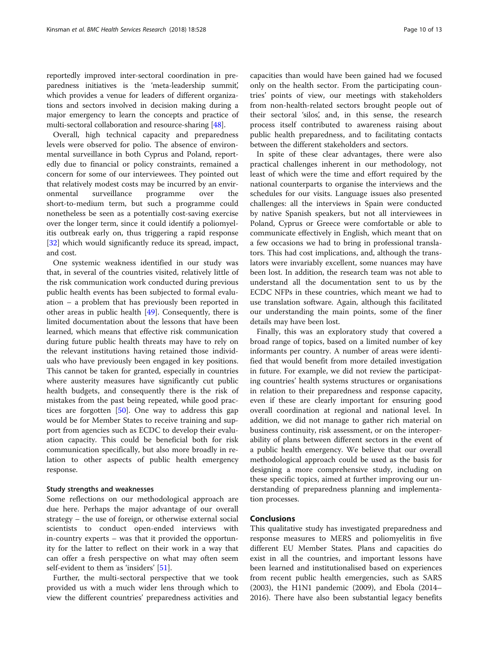reportedly improved inter-sectoral coordination in preparedness initiatives is the 'meta-leadership summit', which provides a venue for leaders of different organizations and sectors involved in decision making during a major emergency to learn the concepts and practice of multi-sectoral collaboration and resource-sharing [\[48\]](#page-12-0).

Overall, high technical capacity and preparedness levels were observed for polio. The absence of environmental surveillance in both Cyprus and Poland, reportedly due to financial or policy constraints, remained a concern for some of our interviewees. They pointed out that relatively modest costs may be incurred by an environmental surveillance programme over the short-to-medium term, but such a programme could nonetheless be seen as a potentially cost-saving exercise over the longer term, since it could identify a poliomyelitis outbreak early on, thus triggering a rapid response [[32\]](#page-11-0) which would significantly reduce its spread, impact, and cost.

One systemic weakness identified in our study was that, in several of the countries visited, relatively little of the risk communication work conducted during previous public health events has been subjected to formal evaluation – a problem that has previously been reported in other areas in public health  $[49]$ . Consequently, there is limited documentation about the lessons that have been learned, which means that effective risk communication during future public health threats may have to rely on the relevant institutions having retained those individuals who have previously been engaged in key positions. This cannot be taken for granted, especially in countries where austerity measures have significantly cut public health budgets, and consequently there is the risk of mistakes from the past being repeated, while good practices are forgotten  $[50]$  $[50]$  $[50]$ . One way to address this gap would be for Member States to receive training and support from agencies such as ECDC to develop their evaluation capacity. This could be beneficial both for risk communication specifically, but also more broadly in relation to other aspects of public health emergency response.

## Study strengths and weaknesses

Some reflections on our methodological approach are due here. Perhaps the major advantage of our overall strategy – the use of foreign, or otherwise external social scientists to conduct open-ended interviews with in-country experts – was that it provided the opportunity for the latter to reflect on their work in a way that can offer a fresh perspective on what may often seem self-evident to them as 'insiders' [\[51](#page-12-0)].

Further, the multi-sectoral perspective that we took provided us with a much wider lens through which to view the different countries' preparedness activities and capacities than would have been gained had we focused only on the health sector. From the participating countries' points of view, our meetings with stakeholders from non-health-related sectors brought people out of their sectoral 'silos', and, in this sense, the research process itself contributed to awareness raising about public health preparedness, and to facilitating contacts between the different stakeholders and sectors.

In spite of these clear advantages, there were also practical challenges inherent in our methodology, not least of which were the time and effort required by the national counterparts to organise the interviews and the schedules for our visits. Language issues also presented challenges: all the interviews in Spain were conducted by native Spanish speakers, but not all interviewees in Poland, Cyprus or Greece were comfortable or able to communicate effectively in English, which meant that on a few occasions we had to bring in professional translators. This had cost implications, and, although the translators were invariably excellent, some nuances may have been lost. In addition, the research team was not able to understand all the documentation sent to us by the ECDC NFPs in these countries, which meant we had to use translation software. Again, although this facilitated our understanding the main points, some of the finer details may have been lost.

Finally, this was an exploratory study that covered a broad range of topics, based on a limited number of key informants per country. A number of areas were identified that would benefit from more detailed investigation in future. For example, we did not review the participating countries' health systems structures or organisations in relation to their preparedness and response capacity, even if these are clearly important for ensuring good overall coordination at regional and national level. In addition, we did not manage to gather rich material on business continuity, risk assessment, or on the interoperability of plans between different sectors in the event of a public health emergency. We believe that our overall methodological approach could be used as the basis for designing a more comprehensive study, including on these specific topics, aimed at further improving our understanding of preparedness planning and implementation processes.

## Conclusions

This qualitative study has investigated preparedness and response measures to MERS and poliomyelitis in five different EU Member States. Plans and capacities do exist in all the countries, and important lessons have been learned and institutionalised based on experiences from recent public health emergencies, such as SARS (2003), the H1N1 pandemic (2009), and Ebola (2014– 2016). There have also been substantial legacy benefits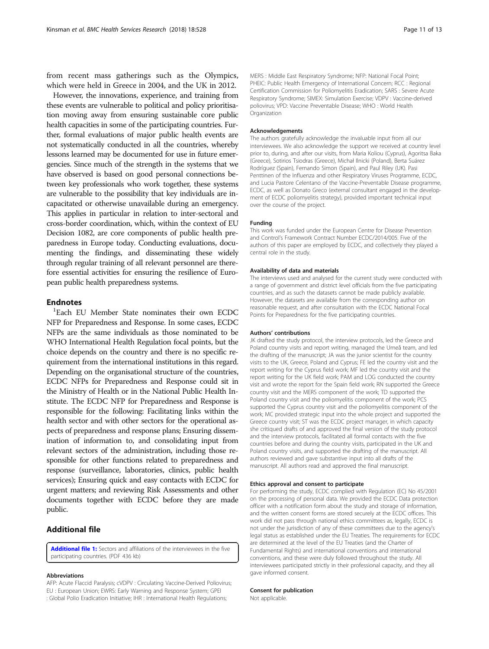<span id="page-10-0"></span>from recent mass gatherings such as the Olympics, which were held in Greece in 2004, and the UK in 2012.

However, the innovations, experience, and training from these events are vulnerable to political and policy prioritisation moving away from ensuring sustainable core public health capacities in some of the participating countries. Further, formal evaluations of major public health events are not systematically conducted in all the countries, whereby lessons learned may be documented for use in future emergencies. Since much of the strength in the systems that we have observed is based on good personal connections between key professionals who work together, these systems are vulnerable to the possibility that key individuals are incapacitated or otherwise unavailable during an emergency. This applies in particular in relation to inter-sectoral and cross-border coordination, which, within the context of EU Decision 1082, are core components of public health preparedness in Europe today. Conducting evaluations, documenting the findings, and disseminating these widely through regular training of all relevant personnel are therefore essential activities for ensuring the resilience of European public health preparedness systems.

## **Endnotes**

<sup>1</sup>Each EU Member State nominates their own ECDC NFP for Preparedness and Response. In some cases, ECDC NFPs are the same individuals as those nominated to be WHO International Health Regulation focal points, but the choice depends on the country and there is no specific requirement from the international institutions in this regard. Depending on the organisational structure of the countries, ECDC NFPs for Preparedness and Response could sit in the Ministry of Health or in the National Public Health Institute. The ECDC NFP for Preparedness and Response is responsible for the following: Facilitating links within the health sector and with other sectors for the operational aspects of preparedness and response plans; Ensuring dissemination of information to, and consolidating input from relevant sectors of the administration, including those responsible for other functions related to preparedness and response (surveillance, laboratories, clinics, public health services); Ensuring quick and easy contacts with ECDC for urgent matters; and reviewing Risk Assessments and other documents together with ECDC before they are made public.

## Additional file

[Additional file 1:](https://doi.org/10.1186/s12913-018-3326-0) Sectors and affiliations of the interviewees in the five participating countries. (PDF 436 kb)

#### Abbreviations

AFP: Acute Flaccid Paralysis; cVDPV : Circulating Vaccine-Derived Poliovirus; EU : European Union; EWRS: Early Warning and Response System; GPEI : Global Polio Eradication Initiative; IHR : International Health Regulations;

MERS : Middle East Respiratory Syndrome; NFP: National Focal Point; PHEIC: Public Health Emergency of International Concern; RCC : Regional Certification Commission for Poliomyelitis Eradication; SARS : Severe Acute Respiratory Syndrome; SIMEX: Simulation Exercise; VDPV : Vaccine-derived poliovirus; VPD: Vaccine Preventable Disease; WHO : World Health **Organization** 

#### Acknowledgements

The authors gratefully acknowledge the invaluable input from all our interviewees. We also acknowledge the support we received at country level prior to, during, and after our visits, from Maria Koliou (Cyprus), Agoritsa Baka (Greece), Sotirios Tsiodras (Greece), Michał Ilnicki (Poland), Berta Suárez Rodríguez (Spain), Fernando Simon (Spain), and Paul Riley (UK). Pasi Penttinen of the Influenza and other Respiratory Viruses Programme, ECDC, and Lucia Pastore Celentano of the Vaccine-Preventable Disease programme, ECDC, as well as Donato Greco (external consultant engaged in the development of ECDC poliomyelitis strategy), provided important technical input over the course of the project.

#### Funding

This work was funded under the European Centre for Disease Prevention and Control's Framework Contract Number ECDC/2014/005. Five of the authors of this paper are employed by ECDC, and collectively they played a central role in the study.

#### Availability of data and materials

The interviews used and analysed for the current study were conducted with a range of government and district level officials from the five participating countries, and as such the datasets cannot be made publicly available. However, the datasets are available from the corresponding author on reasonable request, and after consultation with the ECDC National Focal Points for Preparedness for the five participating countries.

#### Authors' contributions

JK drafted the study protocol, the interview protocols, led the Greece and Poland country visits and report writing, managed the Umeå team, and led the drafting of the manuscript; JA was the junior scientist for the country visits to the UK, Greece, Poland and Cyprus; FE led the country visit and the report writing for the Cyprus field work; MF led the country visit and the report writing for the UK field work; PAM and LOG conducted the country visit and wrote the report for the Spain field work; RN supported the Greece country visit and the MERS component of the work; TD supported the Poland country visit and the poliomyelitis component of the work; PCS supported the Cyprus country visit and the poliomyelitis component of the work; MC provided strategic input into the whole project and supported the Greece country visit; ST was the ECDC project manager, in which capacity she critiqued drafts of and approved the final version of the study protocol and the interview protocols, facilitated all formal contacts with the five countries before and during the country visits, participated in the UK and Poland country visits, and supported the drafting of the manuscript. All authors reviewed and gave substantive input into all drafts of the manuscript. All authors read and approved the final manuscript.

## Ethics approval and consent to participate

For performing the study, ECDC complied with Regulation (EC) No 45/2001 on the processing of personal data. We provided the ECDC Data protection officer with a notification form about the study and storage of information, and the written consent forms are stored securely at the ECDC offices. This work did not pass through national ethics committees as, legally, ECDC is not under the jurisdiction of any of these committees due to the agency's legal status as established under the EU Treaties. The requirements for ECDC are determined at the level of the EU Treaties (and the Charter of Fundamental Rights) and international conventions and international conventions, and these were duly followed throughout the study. All interviewees participated strictly in their professional capacity, and they all gave informed consent.

## Consent for publication

Not applicable.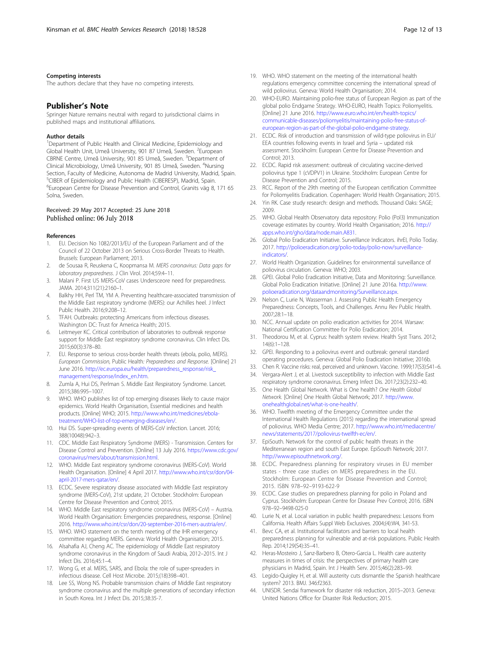## <span id="page-11-0"></span>Competing interests

The authors declare that they have no competing interests.

## Publisher's Note

Springer Nature remains neutral with regard to jurisdictional claims in published maps and institutional affiliations.

### Author details

<sup>1</sup>Department of Public Health and Clinical Medicine, Epidemiology and Global Health Unit, Umeå University, 901 87 Umeå, Sweden. <sup>2</sup>European CBRNE Centre, Umeå University, 901 85 Umeå, Sweden. <sup>3</sup>Department of Clinical Microbiology, Umeå University, 901 85 Umeå, Sweden. <sup>4</sup>Nursing Section, Faculty of Medicine, Autonoma de Madrid University, Madrid, Spain. <sup>5</sup>CIBER of Epidemiology and Public Health (CIBERESP), Madrid, Spain. 6 European Centre for Disease Prevention and Control, Granits väg 8, 171 65 Solna, Sweden.

## Received: 29 May 2017 Accepted: 25 June 2018 Published online: 06 July 2018

## References

- 1. EU. Decision No 1082/2013/EU of the European Parliament and of the Council of 22 October 2013 on Serious Cross-Border Threats to Health. Brussels: European Parliament; 2013.
- 2. de Sousaa R, Reuskena C, Koopmansa M. MERS coronavirus: Data gaps for laboratory preparedness. J Clin Virol. 2014;59:4–11.
- 3. Malani P. First US MERS-CoV cases Undersceore need for preparedness. JAMA. 2014;311(21):2160–1.
- 4. Balkhy HH, Perl TM, YM A. Preventing healthcare-associated transmission of the Middle East respiratory syndrome (MERS): our Achilles heel. J Infect Public Health. 2016;9:208–12.
- 5. TFAH. Outbreaks: protecting Americans from infectious diseases. Washington DC: Trust for America Health; 2015.
- 6. Leitmeyer KC. Critical contribution of laboratories to outbreak response support for Middle East respiratory syndrome coronavirus. Clin Infect Dis. 2015;60(3):378–80.
- EU. Response to serious cross-border health threats (ebola, polio, MERS). European Commission, Public Health: Preparedness and Response. [Online] 21 June 2016. [http://ec.europa.eu/health/preparedness\\_response/risk\\_](http://ec.europa.eu/health/preparedness_response/risk_management/response/index_en.htm) [management/response/index\\_en.htm.](http://ec.europa.eu/health/preparedness_response/risk_management/response/index_en.htm)
- 8. Zumla A, Hui DS, Perlman S. Middle East Respiratory Syndrome. Lancet. 2015;386:995–1007.
- 9. WHO. WHO publishes list of top emerging diseases likely to cause major epidemics. World Health Organisation, Essential medicines and health products. [Online] WHO; 2015. [http://www.who.int/medicines/ebola](http://www.who.int/medicines/ebola-treatment/WHO-list-of-top-emerging-diseases/en)[treatment/WHO-list-of-top-emerging-diseases/en/.](http://www.who.int/medicines/ebola-treatment/WHO-list-of-top-emerging-diseases/en)
- 10. Hui DS. Super-spreading events of MERS-CoV infection. Lancet. 2016; 388(10048):942–3.
- 11. CDC. Middle East Respiratory Syndrome (MERS) Transmission. Centers for Disease Control and Prevention. [Online] 13 July 2016. [https://www.cdc.gov/](https://www.cdc.gov/coronavirus/mers/about/transmission.html) [coronavirus/mers/about/transmission.html](https://www.cdc.gov/coronavirus/mers/about/transmission.html).
- 12. WHO. Middle East respiratory syndrome coronavirus (MERS-CoV). World Health Organisation. [Online] 4 April 2017. [http://www.who.int/csr/don/04](http://www.who.int/csr/don/04-april-2017-mers-qatar/en) [april-2017-mers-qatar/en/](http://www.who.int/csr/don/04-april-2017-mers-qatar/en).
- 13. ECDC. Severe respiratory disease associated with Middle East respiratory syndrome (MERS-CoV), 21st update, 21 October. Stockholm: European Centre for Disease Prevention and Control; 2015.
- 14. WHO. Middle East respiratory syndrome coronavirus (MERS-CoV) Austria. World Health Organisation: Emergencies preparedness, response. [Online] 2016. [http://www.who.int/csr/don/20-september-2016-mers-austria/en/.](http://www.who.int/csr/don/20-september-2016-mers-austria/en)
- 15. WHO. WHO statement on the tenth meeting of the IHR emergency committee regarding MERS. Geneva: World Health Organisation; 2015. 16. Alsahafia AJ, Cheng AC. The epidemiology of Middle East respiratory
- syndrome coronavirus in the Kingdom of Saudi Arabia, 2012–2015. Int J Infect Dis. 2016;45:1–4.
- 17. Wong G, et al. MERS, SARS, and Ebola: the role of super-spreaders in infectious disease. Cell Host Microbe. 2015;(18)398–401.
- 18. Lee SS, Wong NS. Probable transmission chains of Middle East respiratory syndrome coronavirus and the multiple generations of secondary infection in South Korea. Int J Infect Dis. 2015;38:35-7.
- 19. WHO. WHO statement on the meeting of the international health regulations emergency committee concerning the international spread of wild poliovirus. Geneva: World Health Organisation; 2014.
- 20. WHO-EURO. Maintaining polio-free status of European Region as part of the global polio Endgame Strategy. WHO-EURO, Health Topics: Poliomyelitis. [Online] 21 June 2016. [http://www.euro.who.int/en/health-topics/](http://www.euro.who.int/en/health-topics/communicable-diseases/poliomyelitis/maintaining-polio-free-status-of-european-region-as-part-of-the-global-polio-endgame-strategy) [communicable-diseases/poliomyelitis/maintaining-polio-free-status-of](http://www.euro.who.int/en/health-topics/communicable-diseases/poliomyelitis/maintaining-polio-free-status-of-european-region-as-part-of-the-global-polio-endgame-strategy)[european-region-as-part-of-the-global-polio-endgame-strategy](http://www.euro.who.int/en/health-topics/communicable-diseases/poliomyelitis/maintaining-polio-free-status-of-european-region-as-part-of-the-global-polio-endgame-strategy).
- 21. ECDC. Risk of introduction and transmission of wild-type poliovirus in EU/ EEA countries following events in Israel and Syria – updated risk assessment. Stockholm: European Centre for Disease Prevention and Control; 2013.
- 22. ECDC. Rapid risk assessment: outbreak of circulating vaccine-derived poliovirus type 1 (cVDPV1) in Ukraine. Stockholm: European Centre for Disease Prevention and Control; 2015.
- 23. RCC. Report of the 29th meeting of the European certification Committee for Poliomyelitis Eradication. Copenhagen: World Health Organisation; 2015.
- 24. Yin RK. Case study research: design and methods. Thousand Oaks: SAGE; 2009.
- 25. WHO. Global Health Observatory data repository: Polio (Pol3) Immunization coverage estimates by country. World Health Organisation; 2016. [http://](http://apps.who.int/gho/data/node.main.A831) [apps.who.int/gho/data/node.main.A831.](http://apps.who.int/gho/data/node.main.A831)
- 26. Global Polio Eradication Initiative. Surveillance Indicators. ihrEI, Polio Today. 2017. [http://polioeradication.org/polio-today/polio-now/surveillance](http://polioeradication.org/polio-today/polio-now/surveillance-indicators)[indicators/.](http://polioeradication.org/polio-today/polio-now/surveillance-indicators)
- 27. World Health Organization. Guidelines for environmental surveillance of poliovirus circulation. Geneva: WHO; 2003.
- 28. GPEI. Global Polio Eradication Initiative, Data and Monitoring: Surveillance. Global Polio Eradication Initiative. [Online] 21 June 2016a. [http://www.](http://www.polioeradication.org/dataandmonitoring/Surveillance.aspx) [polioeradication.org/dataandmonitoring/Surveillance.aspx](http://www.polioeradication.org/dataandmonitoring/Surveillance.aspx).
- 29. Nelson C, Lurie N, Wasserman J. Assessing Public Health Emergency Preparedness: Concepts, Tools, and Challenges. Annu Rev Public Health. 2007;28:1–18.
- 30. NCC. Annual update on polio eradication activities for 2014. Warsaw: National Certification Committee for Polio Eradication; 2014.
- 31. Theodorou M, et al. Cyprus: health system review. Health Syst Trans. 2012; 14(6):1–128.
- 32. GPEI. Responding to a poliovirus event and outbreak: general standard operating procedures. Geneva: Global Polio Eradication Initiative; 2016b.
- 33. Chen R. Vaccine risks: real, perceived and unknown. Vaccine. 1999;17(S3):S41–6.
- 34. Vergara-Alert J, et al. Livestock susceptibility to infection with Middle East respiratory syndrome coronavirus. Emerg Infect Dis. 2017;23(2):232–40.
- 35. One Health Global Network. What is One health? One Health Global Network. [Online] One Health Global Network; 2017. [http://www.](http://www.onehealthglobal.net/what-is-one-health) [onehealthglobal.net/what-is-one-health/.](http://www.onehealthglobal.net/what-is-one-health)
- 36. WHO. Twelfth meeting of the Emergency Committee under the International Health Regulations (2015) regarding the international spread of poliovirus. WHO Media Centre; 2017. [http://www.who.int/mediacentre/](http://www.who.int/mediacentre/news/statements/2017/poliovirus-twelfth-ec/en) [news/statements/2017/poliovirus-twelfth-ec/en/](http://www.who.int/mediacentre/news/statements/2017/poliovirus-twelfth-ec/en).
- 37. EpiSouth. Network for the control of public health threats in the Mediterranean region and south East Europe. EpiSouth Network; 2017. [http://www.episouthnetwork.org/.](http://www.episouthnetwork.org/)
- 38. ECDC. Preparedness planning for respiratory viruses in EU member states - three case studies on MERS preparedness in the EU. Stockholm: European Centre for Disease Prevention and Control; 2015. ISBN 978–92–9193-622-9
- 39. ECDC. Case studies on preparedness planning for polio in Poland and Cyprus. Stockholm: European Centre for Disease Prev Control; 2016. ISBN 978–92–9498-025-0
- 40. Lurie N, et al. Local variation in public health preparedness: Lessons from California. Health Affairs Suppl Web Exclusives. 2004;(4):W4, 341-53.
- 41. Bevc CA, et al. Institutional facilitators and barriers to local health preparedness planning for vulnerable and at-risk populations. Public Health Rep. 2014;129(S4):35–41.
- 42. Heras-Mosteiro J, Sanz-Barbero B, Otero-Garcia L. Health care austerity measures in times of crisis: the perspectives of primary health care physicians in Madrid, Spain. Int J Health Serv. 2015;46(2):283–99.
- 43. Legido-Quigley H, et al. Will austerity cuts dismantle the Spanish healthcare system? 2013. BMJ. 346:f2363.
- 44. UNISDR. Sendai framework for disaster risk reduction, 2015–2013. Geneva: United Nations Office for Disaster Risk Reduction; 2015.